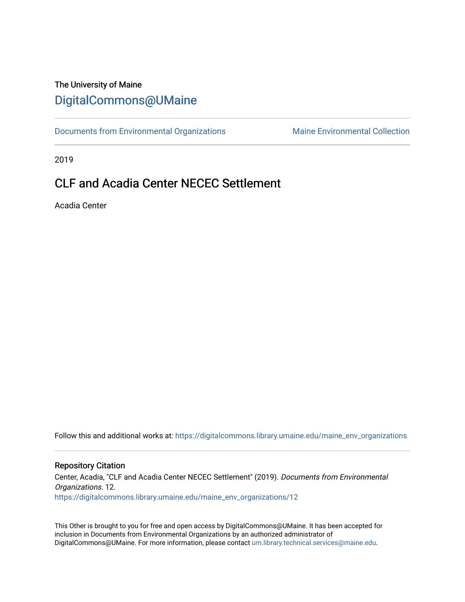# The University of Maine [DigitalCommons@UMaine](https://digitalcommons.library.umaine.edu/)

[Documents from Environmental Organizations](https://digitalcommons.library.umaine.edu/maine_env_organizations) Maine Environmental Collection

2019

# CLF and Acadia Center NECEC Settlement

Acadia Center

Follow this and additional works at: [https://digitalcommons.library.umaine.edu/maine\\_env\\_organizations](https://digitalcommons.library.umaine.edu/maine_env_organizations?utm_source=digitalcommons.library.umaine.edu%2Fmaine_env_organizations%2F12&utm_medium=PDF&utm_campaign=PDFCoverPages)

#### Repository Citation

Center, Acadia, "CLF and Acadia Center NECEC Settlement" (2019). Documents from Environmental Organizations. 12. [https://digitalcommons.library.umaine.edu/maine\\_env\\_organizations/12](https://digitalcommons.library.umaine.edu/maine_env_organizations/12?utm_source=digitalcommons.library.umaine.edu%2Fmaine_env_organizations%2F12&utm_medium=PDF&utm_campaign=PDFCoverPages) 

This Other is brought to you for free and open access by DigitalCommons@UMaine. It has been accepted for inclusion in Documents from Environmental Organizations by an authorized administrator of DigitalCommons@UMaine. For more information, please contact [um.library.technical.services@maine.edu](mailto:um.library.technical.services@maine.edu).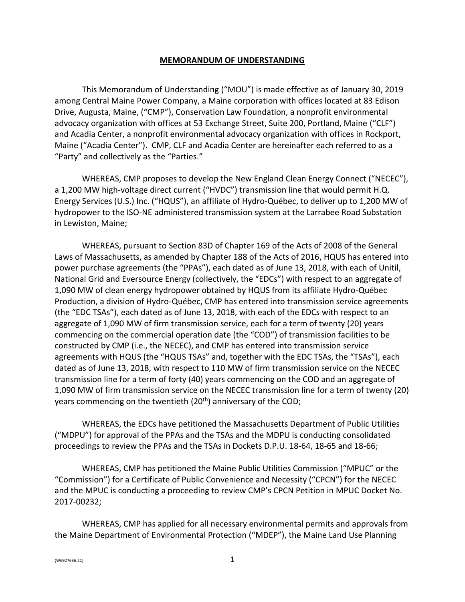### **MEMORANDUM OF UNDERSTANDING**

This Memorandum of Understanding ("MOU") is made effective as of January 30, 2019 among Central Maine Power Company, a Maine corporation with offices located at 83 Edison Drive, Augusta, Maine, ("CMP"), Conservation Law Foundation, a nonprofit environmental advocacy organization with offices at 53 Exchange Street, Suite 200, Portland, Maine ("CLF") and Acadia Center, a nonprofit environmental advocacy organization with offices in Rockport, Maine ("Acadia Center"). CMP, CLF and Acadia Center are hereinafter each referred to as a "Party" and collectively as the "Parties."

WHEREAS, CMP proposes to develop the New England Clean Energy Connect ("NECEC"), a 1,200 MW high-voltage direct current ("HVDC") transmission line that would permit H.Q. Energy Services (U.S.) Inc. ("HQUS"), an affiliate of Hydro-Québec, to deliver up to 1,200 MW of hydropower to the ISO-NE administered transmission system at the Larrabee Road Substation in Lewiston, Maine;

WHEREAS, pursuant to Section 83D of Chapter 169 of the Acts of 2008 of the General Laws of Massachusetts, as amended by Chapter 188 of the Acts of 2016, HQUS has entered into power purchase agreements (the "PPAs"), each dated as of June 13, 2018, with each of Unitil, National Grid and Eversource Energy (collectively, the "EDCs") with respect to an aggregate of 1,090 MW of clean energy hydropower obtained by HQUS from its affiliate Hydro-Québec Production, a division of Hydro-Québec, CMP has entered into transmission service agreements (the "EDC TSAs"), each dated as of June 13, 2018, with each of the EDCs with respect to an aggregate of 1,090 MW of firm transmission service, each for a term of twenty (20) years commencing on the commercial operation date (the "COD") of transmission facilities to be constructed by CMP (i.e., the NECEC), and CMP has entered into transmission service agreements with HQUS (the "HQUS TSAs" and, together with the EDC TSAs, the "TSAs"), each dated as of June 13, 2018, with respect to 110 MW of firm transmission service on the NECEC transmission line for a term of forty (40) years commencing on the COD and an aggregate of 1,090 MW of firm transmission service on the NECEC transmission line for a term of twenty (20) years commencing on the twentieth (20<sup>th</sup>) anniversary of the COD;

WHEREAS, the EDCs have petitioned the Massachusetts Department of Public Utilities ("MDPU") for approval of the PPAs and the TSAs and the MDPU is conducting consolidated proceedings to review the PPAs and the TSAs in Dockets D.P.U. 18-64, 18-65 and 18-66;

WHEREAS, CMP has petitioned the Maine Public Utilities Commission ("MPUC" or the "Commission") for a Certificate of Public Convenience and Necessity ("CPCN") for the NECEC and the MPUC is conducting a proceeding to review CMP's CPCN Petition in MPUC Docket No. 2017-00232;

WHEREAS, CMP has applied for all necessary environmental permits and approvals from the Maine Department of Environmental Protection ("MDEP"), the Maine Land Use Planning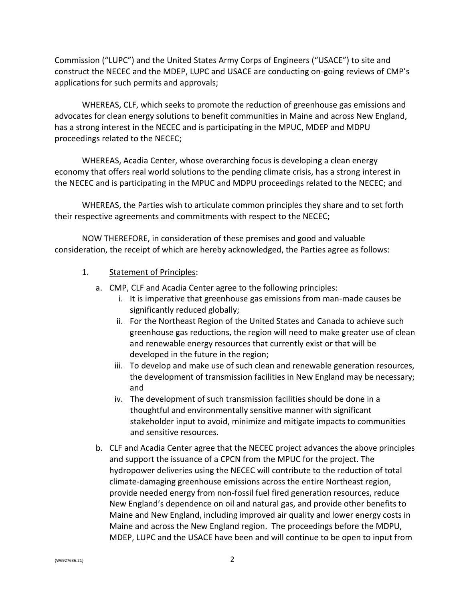Commission ("LUPC") and the United States Army Corps of Engineers ("USACE") to site and construct the NECEC and the MDEP, LUPC and USACE are conducting on-going reviews of CMP's applications for such permits and approvals;

WHEREAS, CLF, which seeks to promote the reduction of greenhouse gas emissions and advocates for clean energy solutions to benefit communities in Maine and across New England, has a strong interest in the NECEC and is participating in the MPUC, MDEP and MDPU proceedings related to the NECEC;

WHEREAS, Acadia Center, whose overarching focus is developing a clean energy economy that offers real world solutions to the pending climate crisis, has a strong interest in the NECEC and is participating in the MPUC and MDPU proceedings related to the NECEC; and

WHEREAS, the Parties wish to articulate common principles they share and to set forth their respective agreements and commitments with respect to the NECEC;

NOW THEREFORE, in consideration of these premises and good and valuable consideration, the receipt of which are hereby acknowledged, the Parties agree as follows:

- 1. Statement of Principles:
	- a. CMP, CLF and Acadia Center agree to the following principles:
		- i. It is imperative that greenhouse gas emissions from man-made causes be significantly reduced globally;
		- ii. For the Northeast Region of the United States and Canada to achieve such greenhouse gas reductions, the region will need to make greater use of clean and renewable energy resources that currently exist or that will be developed in the future in the region;
		- iii. To develop and make use of such clean and renewable generation resources, the development of transmission facilities in New England may be necessary; and
		- iv. The development of such transmission facilities should be done in a thoughtful and environmentally sensitive manner with significant stakeholder input to avoid, minimize and mitigate impacts to communities and sensitive resources.
	- b. CLF and Acadia Center agree that the NECEC project advances the above principles and support the issuance of a CPCN from the MPUC for the project. The hydropower deliveries using the NECEC will contribute to the reduction of total climate-damaging greenhouse emissions across the entire Northeast region, provide needed energy from non-fossil fuel fired generation resources, reduce New England's dependence on oil and natural gas, and provide other benefits to Maine and New England, including improved air quality and lower energy costs in Maine and across the New England region. The proceedings before the MDPU, MDEP, LUPC and the USACE have been and will continue to be open to input from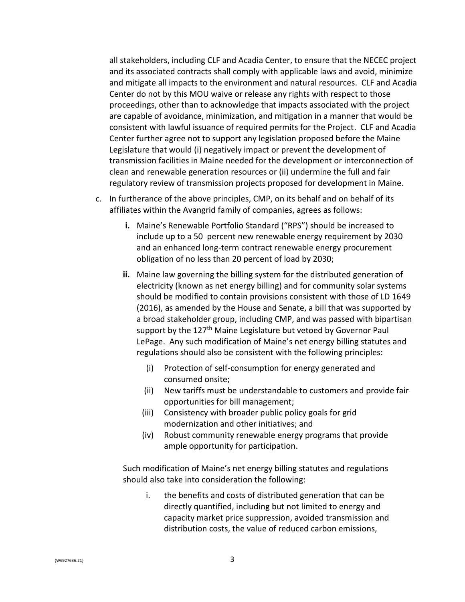all stakeholders, including CLF and Acadia Center, to ensure that the NECEC project and its associated contracts shall comply with applicable laws and avoid, minimize and mitigate all impacts to the environment and natural resources.CLF and Acadia Center do not by this MOU waive or release any rights with respect to those proceedings, other than to acknowledge that impacts associated with the project are capable of avoidance, minimization, and mitigation in a manner that would be consistent with lawful issuance of required permits for the Project. CLF and Acadia Center further agree not to support any legislation proposed before the Maine Legislature that would (i) negatively impact or prevent the development of transmission facilities in Maine needed for the development or interconnection of clean and renewable generation resources or (ii) undermine the full and fair regulatory review of transmission projects proposed for development in Maine.

- c. In furtherance of the above principles, CMP, on its behalf and on behalf of its affiliates within the Avangrid family of companies, agrees as follows:
	- **i.** Maine's Renewable Portfolio Standard ("RPS") should be increased to include up to a 50 percent new renewable energy requirement by 2030 and an enhanced long-term contract renewable energy procurement obligation of no less than 20 percent of load by 2030;
	- **ii.** Maine law governing the billing system for the distributed generation of electricity (known as net energy billing) and for community solar systems should be modified to contain provisions consistent with those of LD 1649 (2016), as amended by the House and Senate, a bill that was supported by a broad stakeholder group, including CMP, and was passed with bipartisan support by the 127<sup>th</sup> Maine Legislature but vetoed by Governor Paul LePage. Any such modification of Maine's net energy billing statutes and regulations should also be consistent with the following principles:
		- (i) Protection of self-consumption for energy generated and consumed onsite;
		- (ii) New tariffs must be understandable to customers and provide fair opportunities for bill management;
		- (iii) Consistency with broader public policy goals for grid modernization and other initiatives; and
		- (iv) Robust community renewable energy programs that provide ample opportunity for participation.

Such modification of Maine's net energy billing statutes and regulations should also take into consideration the following:

i. the benefits and costs of distributed generation that can be directly quantified, including but not limited to energy and capacity market price suppression, avoided transmission and distribution costs, the value of reduced carbon emissions,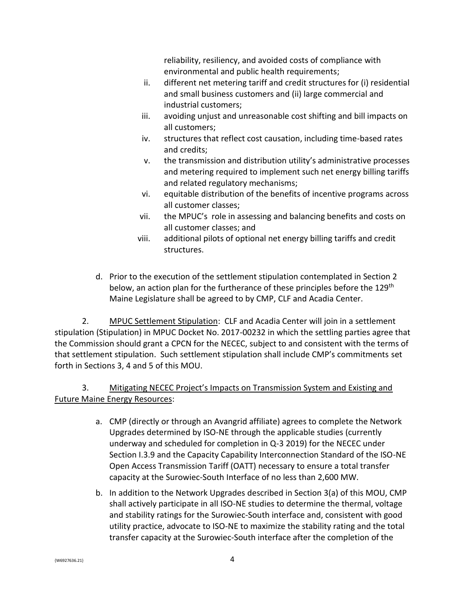reliability, resiliency, and avoided costs of compliance with environmental and public health requirements;

- ii. different net metering tariff and credit structures for (i) residential and small business customers and (ii) large commercial and industrial customers;
- iii. avoiding unjust and unreasonable cost shifting and bill impacts on all customers;
- iv. structures that reflect cost causation, including time-based rates and credits;
- v. the transmission and distribution utility's administrative processes and metering required to implement such net energy billing tariffs and related regulatory mechanisms;
- vi. equitable distribution of the benefits of incentive programs across all customer classes;
- vii. the MPUC's role in assessing and balancing benefits and costs on all customer classes; and
- viii. additional pilots of optional net energy billing tariffs and credit structures.
- d. Prior to the execution of the settlement stipulation contemplated in Section 2 below, an action plan for the furtherance of these principles before the 129<sup>th</sup> Maine Legislature shall be agreed to by CMP, CLF and Acadia Center.

2. MPUC Settlement Stipulation: CLF and Acadia Center will join in a settlement stipulation (Stipulation) in MPUC Docket No. 2017-00232 in which the settling parties agree that the Commission should grant a CPCN for the NECEC, subject to and consistent with the terms of that settlement stipulation. Such settlement stipulation shall include CMP's commitments set forth in Sections 3, 4 and 5 of this MOU.

## 3. Mitigating NECEC Project's Impacts on Transmission System and Existing and Future Maine Energy Resources:

- a. CMP (directly or through an Avangrid affiliate) agrees to complete the Network Upgrades determined by ISO-NE through the applicable studies (currently underway and scheduled for completion in Q-3 2019) for the NECEC under Section I.3.9 and the Capacity Capability Interconnection Standard of the ISO-NE Open Access Transmission Tariff (OATT) necessary to ensure a total transfer capacity at the Surowiec-South Interface of no less than 2,600 MW.
- b. In addition to the Network Upgrades described in Section 3(a) of this MOU, CMP shall actively participate in all ISO-NE studies to determine the thermal, voltage and stability ratings for the Surowiec-South interface and, consistent with good utility practice, advocate to ISO-NE to maximize the stability rating and the total transfer capacity at the Surowiec-South interface after the completion of the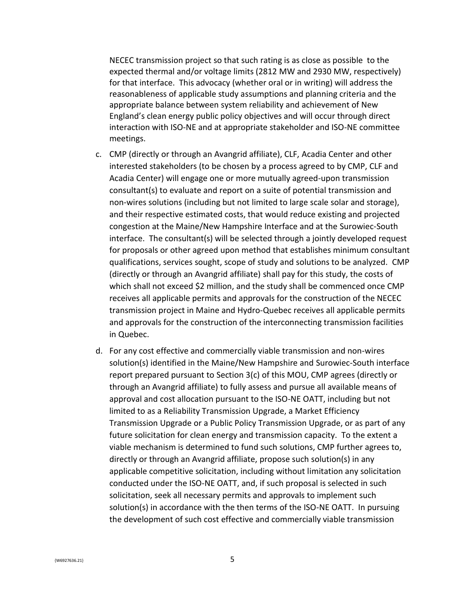NECEC transmission project so that such rating is as close as possible to the expected thermal and/or voltage limits (2812 MW and 2930 MW, respectively) for that interface. This advocacy (whether oral or in writing) will address the reasonableness of applicable study assumptions and planning criteria and the appropriate balance between system reliability and achievement of New England's clean energy public policy objectives and will occur through direct interaction with ISO-NE and at appropriate stakeholder and ISO-NE committee meetings.

- c. CMP (directly or through an Avangrid affiliate), CLF, Acadia Center and other interested stakeholders (to be chosen by a process agreed to by CMP, CLF and Acadia Center) will engage one or more mutually agreed-upon transmission consultant(s) to evaluate and report on a suite of potential transmission and non-wires solutions (including but not limited to large scale solar and storage), and their respective estimated costs, that would reduce existing and projected congestion at the Maine/New Hampshire Interface and at the Surowiec-South interface. The consultant(s) will be selected through a jointly developed request for proposals or other agreed upon method that establishes minimum consultant qualifications, services sought, scope of study and solutions to be analyzed. CMP (directly or through an Avangrid affiliate) shall pay for this study, the costs of which shall not exceed \$2 million, and the study shall be commenced once CMP receives all applicable permits and approvals for the construction of the NECEC transmission project in Maine and Hydro-Quebec receives all applicable permits and approvals for the construction of the interconnecting transmission facilities in Quebec.
- d. For any cost effective and commercially viable transmission and non-wires solution(s) identified in the Maine/New Hampshire and Surowiec-South interface report prepared pursuant to Section 3(c) of this MOU, CMP agrees (directly or through an Avangrid affiliate) to fully assess and pursue all available means of approval and cost allocation pursuant to the ISO-NE OATT, including but not limited to as a Reliability Transmission Upgrade, a Market Efficiency Transmission Upgrade or a Public Policy Transmission Upgrade, or as part of any future solicitation for clean energy and transmission capacity. To the extent a viable mechanism is determined to fund such solutions, CMP further agrees to, directly or through an Avangrid affiliate, propose such solution(s) in any applicable competitive solicitation, including without limitation any solicitation conducted under the ISO-NE OATT, and, if such proposal is selected in such solicitation, seek all necessary permits and approvals to implement such solution(s) in accordance with the then terms of the ISO-NE OATT. In pursuing the development of such cost effective and commercially viable transmission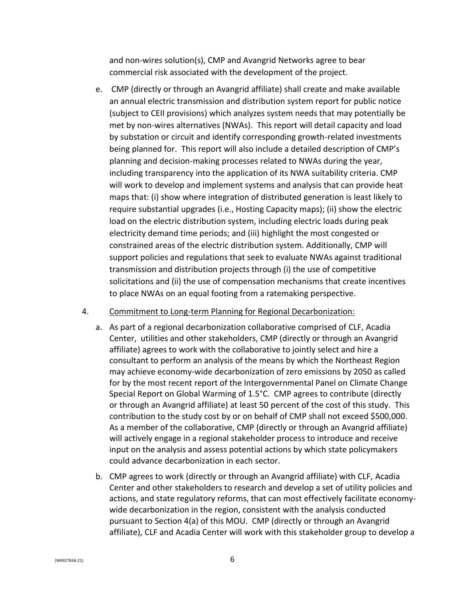and non-wires solution(s), CMP and Avangrid Networks agree to bear commercial risk associated with the development of the project.

e. CMP (directly or through an Avangrid affiliate) shall create and make available an annual electric transmission and distribution system report for public notice (subject to CEII provisions) which analyzes system needs that may potentially be met by non-wires alternatives (NWAs). This report will detail capacity and load by substation or circuit and identify corresponding growth-related investments being planned for. This report will also include a detailed description of CMP's planning and decision-making processes related to NWAs during the year, including transparency into the application of its NWA suitability criteria. CMP will work to develop and implement systems and analysis that can provide heat maps that: (i) show where integration of distributed generation is least likely to require substantial upgrades (i.e., Hosting Capacity maps); (ii) show the electric load on the electric distribution system, including electric loads during peak electricity demand time periods; and (iii) highlight the most congested or constrained areas of the electric distribution system. Additionally, CMP will support policies and regulations that seek to evaluate NWAs against traditional transmission and distribution projects through (i) the use of competitive solicitations and (ii) the use of compensation mechanisms that create incentives to place NWAs on an equal footing from a ratemaking perspective.

## 4. Commitment to Long-term Planning for Regional Decarbonization:

- a. As part of a regional decarbonization collaborative comprised of CLF, Acadia Center, utilities and other stakeholders, CMP (directly or through an Avangrid affiliate) agrees to work with the collaborative to jointly select and hire a consultant to perform an analysis of the means by which the Northeast Region may achieve economy-wide decarbonization of zero emissions by 2050 as called for by the most recent report of the Intergovernmental Panel on Climate Change Special Report on Global Warming of 1.5°C. CMP agrees to contribute (directly or through an Avangrid affiliate) at least 50 percent of the cost of this study. This contribution to the study cost by or on behalf of CMP shall not exceed \$500,000. As a member of the collaborative, CMP (directly or through an Avangrid affiliate) will actively engage in a regional stakeholder process to introduce and receive input on the analysis and assess potential actions by which state policymakers could advance decarbonization in each sector.
- b. CMP agrees to work (directly or through an Avangrid affiliate) with CLF, Acadia Center and other stakeholders to research and develop a set of utility policies and actions, and state regulatory reforms, that can most effectively facilitate economywide decarbonization in the region, consistent with the analysis conducted pursuant to Section 4(a) of this MOU. CMP (directly or through an Avangrid affiliate), CLF and Acadia Center will work with this stakeholder group to develop a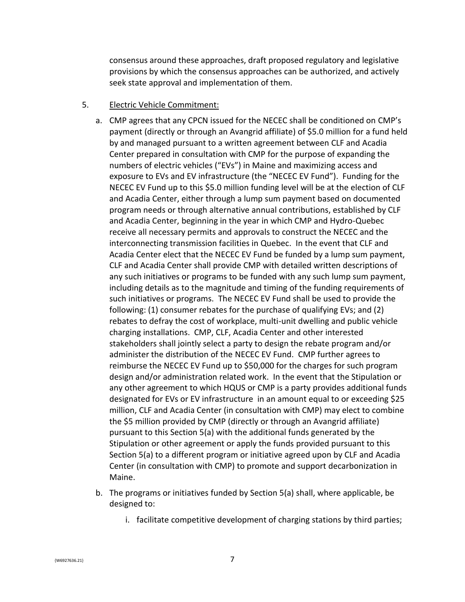consensus around these approaches, draft proposed regulatory and legislative provisions by which the consensus approaches can be authorized, and actively seek state approval and implementation of them.

### 5. Electric Vehicle Commitment:

- a. CMP agrees that any CPCN issued for the NECEC shall be conditioned on CMP's payment (directly or through an Avangrid affiliate) of \$5.0 million for a fund held by and managed pursuant to a written agreement between CLF and Acadia Center prepared in consultation with CMP for the purpose of expanding the numbers of electric vehicles ("EVs") in Maine and maximizing access and exposure to EVs and EV infrastructure (the "NECEC EV Fund"). Funding for the NECEC EV Fund up to this \$5.0 million funding level will be at the election of CLF and Acadia Center, either through a lump sum payment based on documented program needs or through alternative annual contributions, established by CLF and Acadia Center, beginning in the year in which CMP and Hydro-Quebec receive all necessary permits and approvals to construct the NECEC and the interconnecting transmission facilities in Quebec. In the event that CLF and Acadia Center elect that the NECEC EV Fund be funded by a lump sum payment, CLF and Acadia Center shall provide CMP with detailed written descriptions of any such initiatives or programs to be funded with any such lump sum payment, including details as to the magnitude and timing of the funding requirements of such initiatives or programs. The NECEC EV Fund shall be used to provide the following: (1) consumer rebates for the purchase of qualifying EVs; and (2) rebates to defray the cost of workplace, multi-unit dwelling and public vehicle charging installations. CMP, CLF, Acadia Center and other interested stakeholders shall jointly select a party to design the rebate program and/or administer the distribution of the NECEC EV Fund. CMP further agrees to reimburse the NECEC EV Fund up to \$50,000 for the charges for such program design and/or administration related work. In the event that the Stipulation or any other agreement to which HQUS or CMP is a party provides additional funds designated for EVs or EV infrastructure in an amount equal to or exceeding \$25 million, CLF and Acadia Center (in consultation with CMP) may elect to combine the \$5 million provided by CMP (directly or through an Avangrid affiliate) pursuant to this Section 5(a) with the additional funds generated by the Stipulation or other agreement or apply the funds provided pursuant to this Section 5(a) to a different program or initiative agreed upon by CLF and Acadia Center (in consultation with CMP) to promote and support decarbonization in Maine.
- b. The programs or initiatives funded by Section 5(a) shall, where applicable, be designed to:
	- i. facilitate competitive development of charging stations by third parties;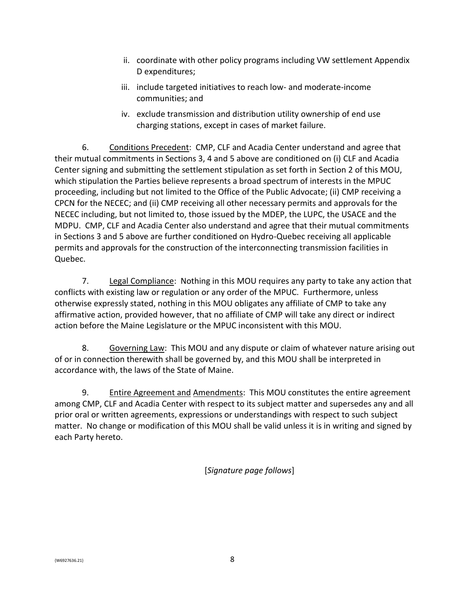- ii. coordinate with other policy programs including VW settlement Appendix D expenditures;
- iii. include targeted initiatives to reach low- and moderate-income communities; and
- iv. exclude transmission and distribution utility ownership of end use charging stations, except in cases of market failure.

6. Conditions Precedent: CMP, CLF and Acadia Center understand and agree that their mutual commitments in Sections 3, 4 and 5 above are conditioned on (i) CLF and Acadia Center signing and submitting the settlement stipulation as set forth in Section 2 of this MOU, which stipulation the Parties believe represents a broad spectrum of interests in the MPUC proceeding, including but not limited to the Office of the Public Advocate; (ii) CMP receiving a CPCN for the NECEC; and (ii) CMP receiving all other necessary permits and approvals for the NECEC including, but not limited to, those issued by the MDEP, the LUPC, the USACE and the MDPU. CMP, CLF and Acadia Center also understand and agree that their mutual commitments in Sections 3 and 5 above are further conditioned on Hydro-Quebec receiving all applicable permits and approvals for the construction of the interconnecting transmission facilities in Quebec.

7. Legal Compliance: Nothing in this MOU requires any party to take any action that conflicts with existing law or regulation or any order of the MPUC. Furthermore, unless otherwise expressly stated, nothing in this MOU obligates any affiliate of CMP to take any affirmative action, provided however, that no affiliate of CMP will take any direct or indirect action before the Maine Legislature or the MPUC inconsistent with this MOU.

8. Governing Law: This MOU and any dispute or claim of whatever nature arising out of or in connection therewith shall be governed by, and this MOU shall be interpreted in accordance with, the laws of the State of Maine.

9. Entire Agreement and Amendments: This MOU constitutes the entire agreement among CMP, CLF and Acadia Center with respect to its subject matter and supersedes any and all prior oral or written agreements, expressions or understandings with respect to such subject matter. No change or modification of this MOU shall be valid unless it is in writing and signed by each Party hereto.

[*Signature page follows*]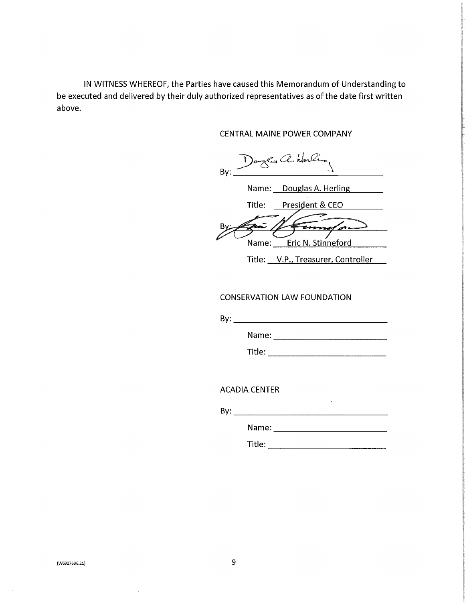IN WITNESS WHEREOF, the Parties have caused this Memorandum of Understanding to be executed and delivered by their duly authorized representatives as of the date first written above.

CENTRAL MAINE POWER COMPANY

Dagles a. Horling  $Bv:$ 

Name: Douglas A. Herling

Title: President & CEO

come o Name: Eric N. Stinneford

Title: V.P., Treasurer, Controller

## **CONSERVATION LAW FOUNDATION**

By: Exercise the second contract of the second contract of the second contract of the second contract of the second contract of the second contract of the second contract of the second contract of the second contract of th

**Title:** The contract of the contract of the contract of the contract of the contract of the contract of the contract of the contract of the contract of the contract of the contract of the contract of the contract of the c

**ACADIA CENTER** 

 $\mathsf{By:}$ 

 $\sim 10$